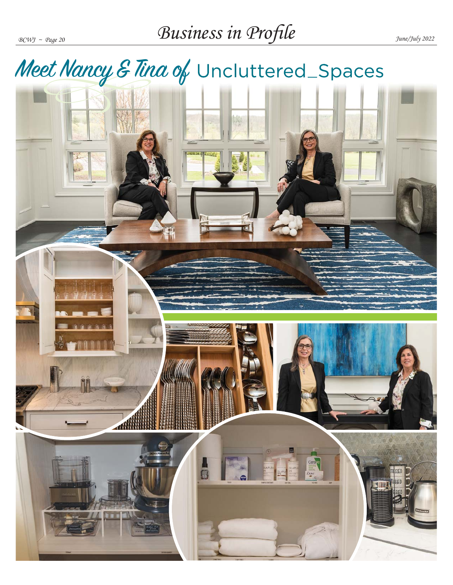## Business in Profile

June/July 2022

## Meet Nancy & Tina of Uncluttered\_Spaces